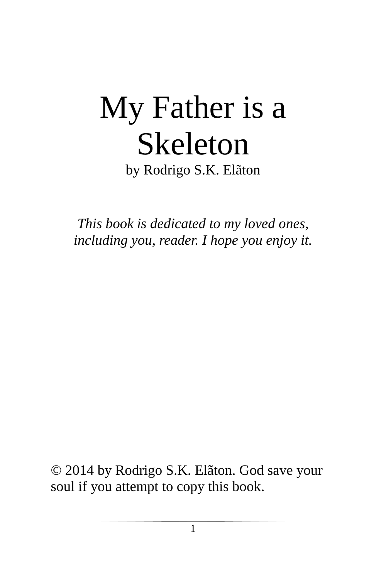## My Father is a Skeleton by Rodrigo S.K. Elãton

*This book is dedicated to my loved ones, including you, reader. I hope you enjoy it.*

© 2014 by Rodrigo S.K. Elãton. God save your soul if you attempt to copy this book.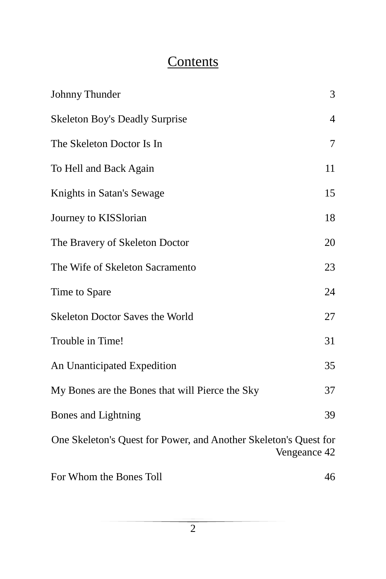## **Contents**

| Johnny Thunder                                                   | 3              |
|------------------------------------------------------------------|----------------|
| <b>Skeleton Boy's Deadly Surprise</b>                            | $\overline{4}$ |
| The Skeleton Doctor Is In                                        | 7              |
| To Hell and Back Again                                           | 11             |
| Knights in Satan's Sewage                                        | 15             |
| Journey to KISSlorian                                            | 18             |
| The Bravery of Skeleton Doctor                                   | 20             |
| The Wife of Skeleton Sacramento                                  | 23             |
| Time to Spare                                                    | 24             |
| <b>Skeleton Doctor Saves the World</b>                           | 27             |
| Trouble in Time!                                                 | 31             |
| An Unanticipated Expedition                                      | 35             |
| My Bones are the Bones that will Pierce the Sky                  | 37             |
| Bones and Lightning                                              | 39             |
| One Skeleton's Quest for Power, and Another Skeleton's Quest for | Vengeance 42   |
| For Whom the Bones Toll                                          | 46             |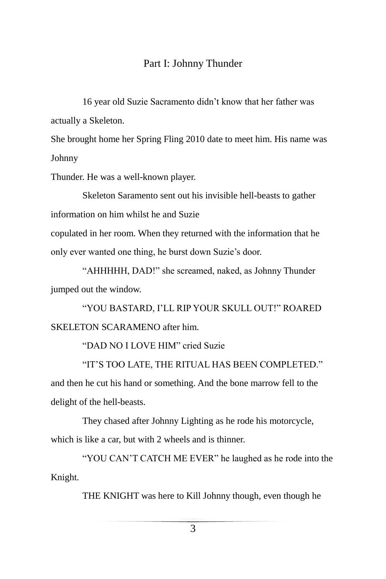#### Part I: Johnny Thunder

16 year old Suzie Sacramento didn't know that her father was actually a Skeleton.

She brought home her Spring Fling 2010 date to meet him. His name was Johnny

Thunder. He was a well-known player.

Skeleton Saramento sent out his invisible hell-beasts to gather information on him whilst he and Suzie

copulated in her room. When they returned with the information that he only ever wanted one thing, he burst down Suzie's door.

"AHHHHH, DAD!" she screamed, naked, as Johnny Thunder jumped out the window.

"YOU BASTARD, I'LL RIP YOUR SKULL OUT!" ROARED SKELETON SCARAMENO after him.

"DAD NO I LOVE HIM" cried Suzie

"IT'S TOO LATE, THE RITUAL HAS BEEN COMPLETED." and then he cut his hand or something. And the bone marrow fell to the delight of the hell-beasts.

They chased after Johnny Lighting as he rode his motorcycle, which is like a car, but with 2 wheels and is thinner.

"YOU CAN'T CATCH ME EVER" he laughed as he rode into the Knight.

THE KNIGHT was here to Kill Johnny though, even though he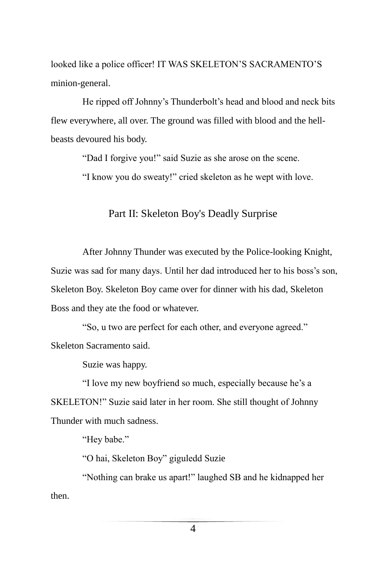looked like a police officer! IT WAS SKELETON'S SACRAMENTO'S minion-general.

He ripped off Johnny's Thunderbolt's head and blood and neck bits flew everywhere, all over. The ground was filled with blood and the hellbeasts devoured his body.

"Dad I forgive you!" said Suzie as she arose on the scene.

"I know you do sweaty!" cried skeleton as he wept with love.

#### Part II: Skeleton Boy's Deadly Surprise

After Johnny Thunder was executed by the Police-looking Knight, Suzie was sad for many days. Until her dad introduced her to his boss's son, Skeleton Boy. Skeleton Boy came over for dinner with his dad, Skeleton Boss and they ate the food or whatever.

"So, u two are perfect for each other, and everyone agreed." Skeleton Sacramento said.

Suzie was happy.

"I love my new boyfriend so much, especially because he's a SKELETON!" Suzie said later in her room. She still thought of Johnny Thunder with much sadness.

"Hey babe."

"O hai, Skeleton Boy" giguledd Suzie

"Nothing can brake us apart!" laughed SB and he kidnapped her then.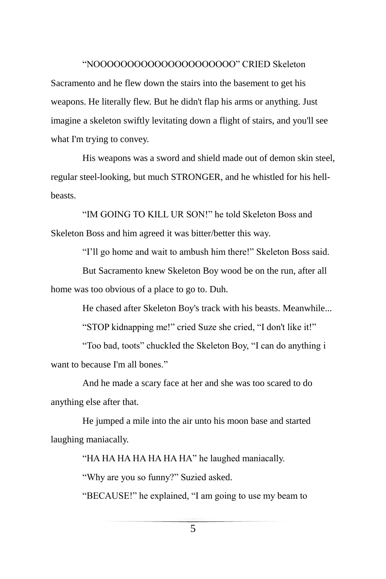#### "NOOOOOOOOOOOOOOOOOOOOO" CRIED Skeleton

Sacramento and he flew down the stairs into the basement to get his weapons. He literally flew. But he didn't flap his arms or anything. Just imagine a skeleton swiftly levitating down a flight of stairs, and you'll see what I'm trying to convey.

His weapons was a sword and shield made out of demon skin steel, regular steel-looking, but much STRONGER, and he whistled for his hellbeasts.

"IM GOING TO KILL UR SON!" he told Skeleton Boss and Skeleton Boss and him agreed it was bitter/better this way.

"I'll go home and wait to ambush him there!" Skeleton Boss said.

But Sacramento knew Skeleton Boy wood be on the run, after all home was too obvious of a place to go to. Duh.

He chased after Skeleton Boy's track with his beasts. Meanwhile...

"STOP kidnapping me!" cried Suze she cried, "I don't like it!"

"Too bad, toots" chuckled the Skeleton Boy, "I can do anything i want to because I'm all bones."

And he made a scary face at her and she was too scared to do anything else after that.

He jumped a mile into the air unto his moon base and started laughing maniacally.

"HA HA HA HA HA HA HA" he laughed maniacally.

"Why are you so funny?" Suzied asked.

"BECAUSE!" he explained, "I am going to use my beam to

5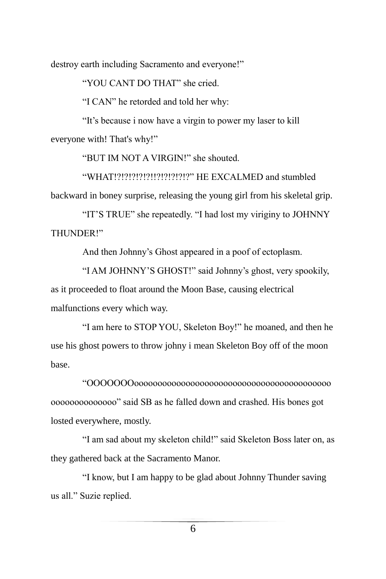destroy earth including Sacramento and everyone!"

"YOU CANT DO THAT" she cried.

"I CAN" he retorded and told her why:

"It's because i now have a virgin to power my laser to kill everyone with! That's why!"

"BUT IM NOT A VIRGIN!" she shouted.

"WHAT!?!?!?!?!?!!?!?!?!?!?!?" HE EXCALMED and stumbled backward in boney surprise, releasing the young girl from his skeletal grip.

"IT'S TRUE" she repeatedly. "I had lost my viriginy to JOHNNY THUNDER!"

And then Johnny's Ghost appeared in a poof of ectoplasm.

"I AM JOHNNY'S GHOST!" said Johnny's ghost, very spookily, as it proceeded to float around the Moon Base, causing electrical malfunctions every which way.

"I am here to STOP YOU, Skeleton Boy!" he moaned, and then he use his ghost powers to throw johny i mean Skeleton Boy off of the moon base.

"OOOOOOOoooooooooooooooooooooooooooooooooooooooooo oooooooooooooo" said SB as he falled down and crashed. His bones got losted everywhere, mostly.

"I am sad about my skeleton child!" said Skeleton Boss later on, as they gathered back at the Sacramento Manor.

"I know, but I am happy to be glad about Johnny Thunder saving us all." Suzie replied.

6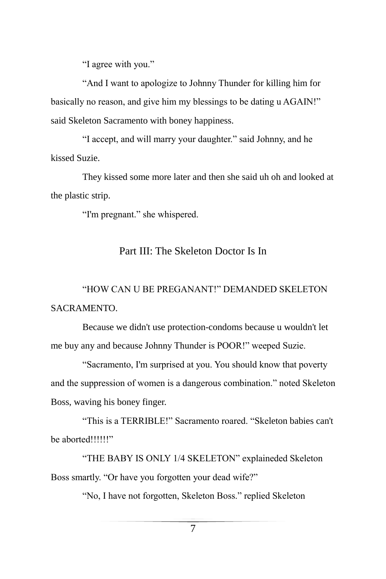"I agree with you."

"And I want to apologize to Johnny Thunder for killing him for basically no reason, and give him my blessings to be dating u AGAIN!" said Skeleton Sacramento with boney happiness.

"I accept, and will marry your daughter." said Johnny, and he kissed Suzie.

They kissed some more later and then she said uh oh and looked at the plastic strip.

"I'm pregnant." she whispered.

#### Part III: The Skeleton Doctor Is In

## "HOW CAN U BE PREGANANT!" DEMANDED SKELETON SACRAMENTO.

Because we didn't use protection-condoms because u wouldn't let me buy any and because Johnny Thunder is POOR!" weeped Suzie.

"Sacramento, I'm surprised at you. You should know that poverty and the suppression of women is a dangerous combination." noted Skeleton Boss, waving his boney finger.

"This is a TERRIBLE!" Sacramento roared. "Skeleton babies can't be aborted!!!!!!"

"THE BABY IS ONLY 1/4 SKELETON" explaineded Skeleton Boss smartly. "Or have you forgotten your dead wife?"

"No, I have not forgotten, Skeleton Boss." replied Skeleton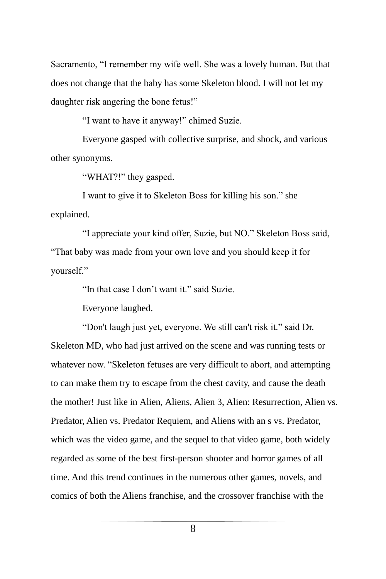Sacramento, "I remember my wife well. She was a lovely human. But that does not change that the baby has some Skeleton blood. I will not let my daughter risk angering the bone fetus!"

"I want to have it anyway!" chimed Suzie.

Everyone gasped with collective surprise, and shock, and various other synonyms.

"WHAT?!" they gasped.

I want to give it to Skeleton Boss for killing his son." she explained.

"I appreciate your kind offer, Suzie, but NO." Skeleton Boss said, "That baby was made from your own love and you should keep it for yourself."

"In that case I don't want it." said Suzie.

Everyone laughed.

"Don't laugh just yet, everyone. We still can't risk it." said Dr. Skeleton MD, who had just arrived on the scene and was running tests or whatever now. "Skeleton fetuses are very difficult to abort, and attempting to can make them try to escape from the chest cavity, and cause the death the mother! Just like in Alien, Aliens, Alien 3, Alien: Resurrection, Alien vs. Predator, Alien vs. Predator Requiem, and Aliens with an s vs. Predator, which was the video game, and the sequel to that video game, both widely regarded as some of the best first-person shooter and horror games of all time. And this trend continues in the numerous other games, novels, and comics of both the Aliens franchise, and the crossover franchise with the

8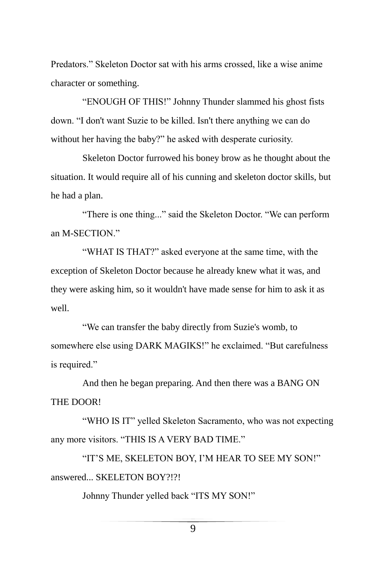Predators." Skeleton Doctor sat with his arms crossed, like a wise anime character or something.

"ENOUGH OF THIS!" Johnny Thunder slammed his ghost fists down. "I don't want Suzie to be killed. Isn't there anything we can do without her having the baby?" he asked with desperate curiosity.

Skeleton Doctor furrowed his boney brow as he thought about the situation. It would require all of his cunning and skeleton doctor skills, but he had a plan.

"There is one thing..." said the Skeleton Doctor. "We can perform an M-SECTION."

"WHAT IS THAT?" asked everyone at the same time, with the exception of Skeleton Doctor because he already knew what it was, and they were asking him, so it wouldn't have made sense for him to ask it as well.

"We can transfer the baby directly from Suzie's womb, to somewhere else using DARK MAGIKS!" he exclaimed. "But carefulness is required."

And then he began preparing. And then there was a BANG ON THE DOOR!

"WHO IS IT" yelled Skeleton Sacramento, who was not expecting any more visitors. "THIS IS A VERY BAD TIME."

"IT'S ME, SKELETON BOY, I'M HEAR TO SEE MY SON!" answered... SKELETON BOY?!?!

Johnny Thunder yelled back "ITS MY SON!"

9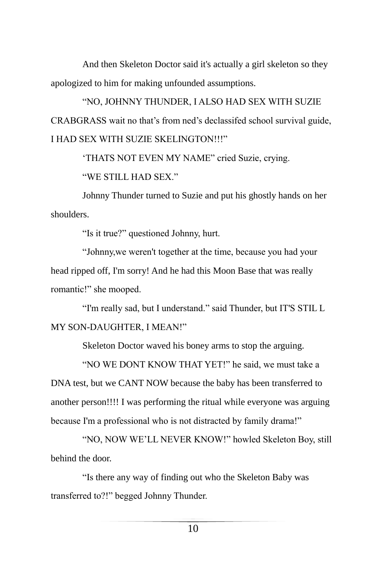And then Skeleton Doctor said it's actually a girl skeleton so they apologized to him for making unfounded assumptions.

"NO, JOHNNY THUNDER, I ALSO HAD SEX WITH SUZIE CRABGRASS wait no that's from ned's declassifed school survival guide, I HAD SEX WITH SUZIE SKELINGTON!!!"

'THATS NOT EVEN MY NAME" cried Suzie, crying.

"WE STILL HAD SEX."

Johnny Thunder turned to Suzie and put his ghostly hands on her shoulders.

"Is it true?" questioned Johnny, hurt.

"Johnny,we weren't together at the time, because you had your head ripped off, I'm sorry! And he had this Moon Base that was really romantic!" she mooped.

"I'm really sad, but I understand." said Thunder, but IT'S STIL L MY SON-DAUGHTER, I MEAN!"

Skeleton Doctor waved his boney arms to stop the arguing.

"NO WE DONT KNOW THAT YET!" he said, we must take a DNA test, but we CANT NOW because the baby has been transferred to another person!!!! I was performing the ritual while everyone was arguing because I'm a professional who is not distracted by family drama!"

"NO, NOW WE'LL NEVER KNOW!" howled Skeleton Boy, still behind the door.

"Is there any way of finding out who the Skeleton Baby was transferred to?!" begged Johnny Thunder.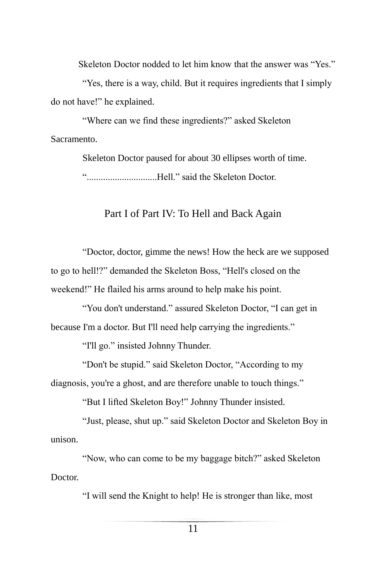Skeleton Doctor nodded to let him know that the answer was "Yes."

"Yes, there is a way, child. But it requires ingredients that I simply do not have!" he explained.

"Where can we find these ingredients?" asked Skeleton Sacramento.

> Skeleton Doctor paused for about 30 ellipses worth of time. "..............................Hell." said the Skeleton Doctor.

#### Part I of Part IV: To Hell and Back Again

"Doctor, doctor, gimme the news! How the heck are we supposed to go to hell!?" demanded the Skeleton Boss, "Hell's closed on the weekend!" He flailed his arms around to help make his point.

"You don't understand." assured Skeleton Doctor, "I can get in because I'm a doctor. But I'll need help carrying the ingredients."

"I'll go." insisted Johnny Thunder.

"Don't be stupid." said Skeleton Doctor, "According to my diagnosis, you're a ghost, and are therefore unable to touch things."

"But I lifted Skeleton Boy!" Johnny Thunder insisted.

"Just, please, shut up." said Skeleton Doctor and Skeleton Boy in unison.

"Now, who can come to be my baggage bitch?" asked Skeleton Doctor.

"I will send the Knight to help! He is stronger than like, most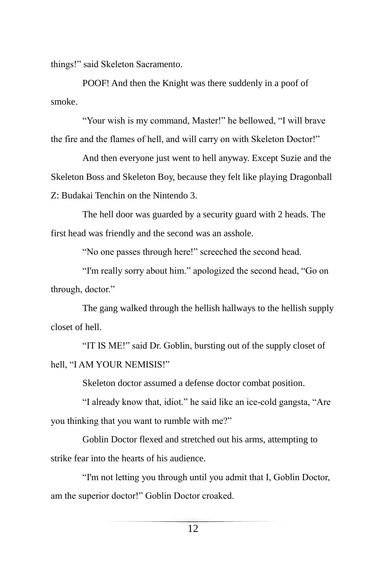things!" said Skeleton Sacramento.

POOF! And then the Knight was there suddenly in a poof of smoke.

"Your wish is my command, Master!" he bellowed, "I will brave the fire and the flames of hell, and will carry on with Skeleton Doctor!"

And then everyone just went to hell anyway. Except Suzie and the Skeleton Boss and Skeleton Boy, because they felt like playing Dragonball Z: Budakai Tenchin on the Nintendo 3.

The hell door was guarded by a security guard with 2 heads. The first head was friendly and the second was an asshole.

"No one passes through here!" screeched the second head.

"I'm really sorry about him." apologized the second head, "Go on through, doctor."

The gang walked through the hellish hallways to the hellish supply closet of hell.

"IT IS ME!" said Dr. Goblin, bursting out of the supply closet of hell, "I AM YOUR NEMISIS!"

Skeleton doctor assumed a defense doctor combat position.

"I already know that, idiot." he said like an ice-cold gangsta, "Are you thinking that you want to rumble with me?"

Goblin Doctor flexed and stretched out his arms, attempting to strike fear into the hearts of his audience.

"I'm not letting you through until you admit that I, Goblin Doctor, am the superior doctor!" Goblin Doctor croaked.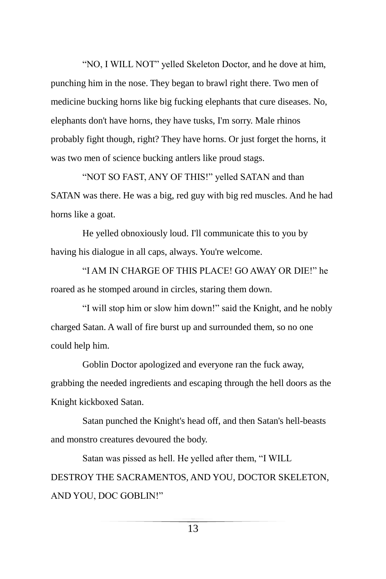"NO, I WILL NOT" yelled Skeleton Doctor, and he dove at him, punching him in the nose. They began to brawl right there. Two men of medicine bucking horns like big fucking elephants that cure diseases. No, elephants don't have horns, they have tusks, I'm sorry. Male rhinos probably fight though, right? They have horns. Or just forget the horns, it was two men of science bucking antlers like proud stags.

"NOT SO FAST, ANY OF THIS!" yelled SATAN and than SATAN was there. He was a big, red guy with big red muscles. And he had horns like a goat.

He yelled obnoxiously loud. I'll communicate this to you by having his dialogue in all caps, always. You're welcome.

"I AM IN CHARGE OF THIS PLACE! GO AWAY OR DIE!" he roared as he stomped around in circles, staring them down.

"I will stop him or slow him down!" said the Knight, and he nobly charged Satan. A wall of fire burst up and surrounded them, so no one could help him.

Goblin Doctor apologized and everyone ran the fuck away, grabbing the needed ingredients and escaping through the hell doors as the Knight kickboxed Satan.

Satan punched the Knight's head off, and then Satan's hell-beasts and monstro creatures devoured the body.

Satan was pissed as hell. He yelled after them, "I WILL DESTROY THE SACRAMENTOS, AND YOU, DOCTOR SKELETON, AND YOU, DOC GOBLIN!"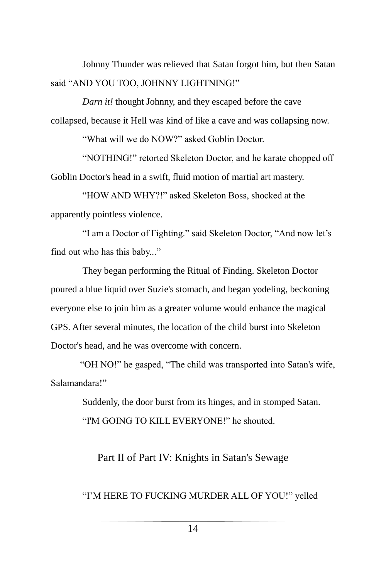Johnny Thunder was relieved that Satan forgot him, but then Satan said "AND YOU TOO, JOHNNY LIGHTNING!"

*Darn it!* thought Johnny, and they escaped before the cave collapsed, because it Hell was kind of like a cave and was collapsing now.

"What will we do NOW?" asked Goblin Doctor.

"NOTHING!" retorted Skeleton Doctor, and he karate chopped off Goblin Doctor's head in a swift, fluid motion of martial art mastery.

"HOW AND WHY?!" asked Skeleton Boss, shocked at the apparently pointless violence.

"I am a Doctor of Fighting." said Skeleton Doctor, "And now let's find out who has this baby..."

They began performing the Ritual of Finding. Skeleton Doctor poured a blue liquid over Suzie's stomach, and began yodeling, beckoning everyone else to join him as a greater volume would enhance the magical GPS. After several minutes, the location of the child burst into Skeleton Doctor's head, and he was overcome with concern.

"OH NO!" he gasped, "The child was transported into Satan's wife, Salamandara!"

> Suddenly, the door burst from its hinges, and in stomped Satan. "I'M GOING TO KILL EVERYONE!" he shouted.

#### Part II of Part IV: Knights in Satan's Sewage

#### "I'M HERE TO FUCKING MURDER ALL OF YOU!" yelled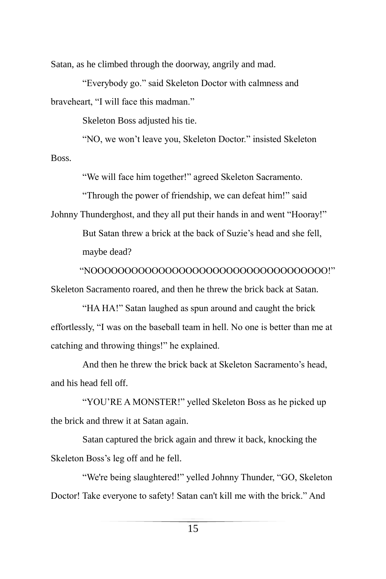Satan, as he climbed through the doorway, angrily and mad.

"Everybody go." said Skeleton Doctor with calmness and braveheart, "I will face this madman."

Skeleton Boss adjusted his tie.

"NO, we won't leave you, Skeleton Doctor." insisted Skeleton Boss.

"We will face him together!" agreed Skeleton Sacramento.

"Through the power of friendship, we can defeat him!" said

Johnny Thunderghost, and they all put their hands in and went "Hooray!" But Satan threw a brick at the back of Suzie's head and she fell, maybe dead?

"NOOOOOOOOOOOOOOOOOOOOOOOOOOOOOOOOOOO!" Skeleton Sacramento roared, and then he threw the brick back at Satan.

"HA HA!" Satan laughed as spun around and caught the brick effortlessly, "I was on the baseball team in hell. No one is better than me at catching and throwing things!" he explained.

And then he threw the brick back at Skeleton Sacramento's head, and his head fell off.

"YOU'RE A MONSTER!" yelled Skeleton Boss as he picked up the brick and threw it at Satan again.

Satan captured the brick again and threw it back, knocking the Skeleton Boss's leg off and he fell.

"We're being slaughtered!" yelled Johnny Thunder, "GO, Skeleton Doctor! Take everyone to safety! Satan can't kill me with the brick." And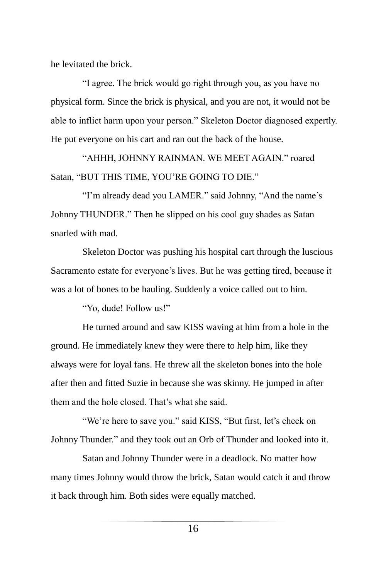he levitated the brick.

"I agree. The brick would go right through you, as you have no physical form. Since the brick is physical, and you are not, it would not be able to inflict harm upon your person." Skeleton Doctor diagnosed expertly. He put everyone on his cart and ran out the back of the house.

"AHHH, JOHNNY RAINMAN. WE MEET AGAIN." roared Satan, "BUT THIS TIME, YOU'RE GOING TO DIE."

"I'm already dead you LAMER." said Johnny, "And the name's Johnny THUNDER." Then he slipped on his cool guy shades as Satan snarled with mad.

Skeleton Doctor was pushing his hospital cart through the luscious Sacramento estate for everyone's lives. But he was getting tired, because it was a lot of bones to be hauling. Suddenly a voice called out to him.

"Yo, dude! Follow us!"

He turned around and saw KISS waving at him from a hole in the ground. He immediately knew they were there to help him, like they always were for loyal fans. He threw all the skeleton bones into the hole after then and fitted Suzie in because she was skinny. He jumped in after them and the hole closed. That's what she said.

"We're here to save you." said KISS, "But first, let's check on Johnny Thunder." and they took out an Orb of Thunder and looked into it.

Satan and Johnny Thunder were in a deadlock. No matter how many times Johnny would throw the brick, Satan would catch it and throw it back through him. Both sides were equally matched.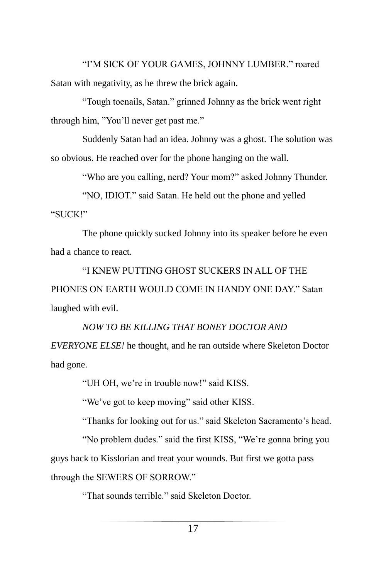"I'M SICK OF YOUR GAMES, JOHNNY LUMBER." roared Satan with negativity, as he threw the brick again.

"Tough toenails, Satan." grinned Johnny as the brick went right through him, "You'll never get past me."

Suddenly Satan had an idea. Johnny was a ghost. The solution was so obvious. He reached over for the phone hanging on the wall.

"Who are you calling, nerd? Your mom?" asked Johnny Thunder.

"NO, IDIOT." said Satan. He held out the phone and yelled "SUCK!"

The phone quickly sucked Johnny into its speaker before he even had a chance to react.

"I KNEW PUTTING GHOST SUCKERS IN ALL OF THE PHONES ON EARTH WOULD COME IN HANDY ONE DAY." Satan laughed with evil.

## *NOW TO BE KILLING THAT BONEY DOCTOR AND EVERYONE ELSE!* he thought, and he ran outside where Skeleton Doctor had gone.

"UH OH, we're in trouble now!" said KISS.

"We've got to keep moving" said other KISS.

"Thanks for looking out for us." said Skeleton Sacramento's head.

"No problem dudes." said the first KISS, "We're gonna bring you guys back to Kisslorian and treat your wounds. But first we gotta pass through the SEWERS OF SORROW."

"That sounds terrible." said Skeleton Doctor.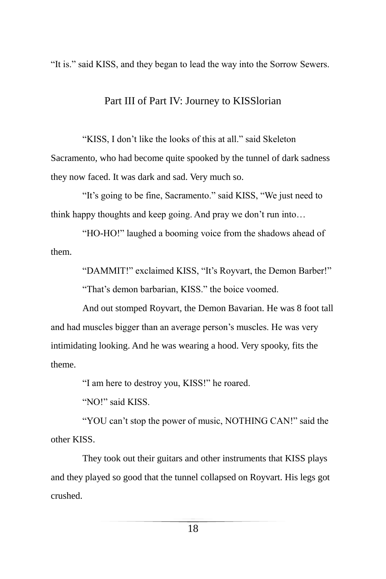"It is." said KISS, and they began to lead the way into the Sorrow Sewers.

#### Part III of Part IV: Journey to KISSlorian

"KISS, I don't like the looks of this at all." said Skeleton Sacramento, who had become quite spooked by the tunnel of dark sadness they now faced. It was dark and sad. Very much so.

"It's going to be fine, Sacramento." said KISS, "We just need to think happy thoughts and keep going. And pray we don't run into…

"HO-HO!" laughed a booming voice from the shadows ahead of them.

"DAMMIT!" exclaimed KISS, "It's Royvart, the Demon Barber!"

"That's demon barbarian, KISS." the boice voomed.

And out stomped Royvart, the Demon Bavarian. He was 8 foot tall and had muscles bigger than an average person's muscles. He was very intimidating looking. And he was wearing a hood. Very spooky, fits the theme.

"I am here to destroy you, KISS!" he roared.

"NO!" said KISS.

"YOU can't stop the power of music, NOTHING CAN!" said the other KISS.

They took out their guitars and other instruments that KISS plays and they played so good that the tunnel collapsed on Royvart. His legs got crushed.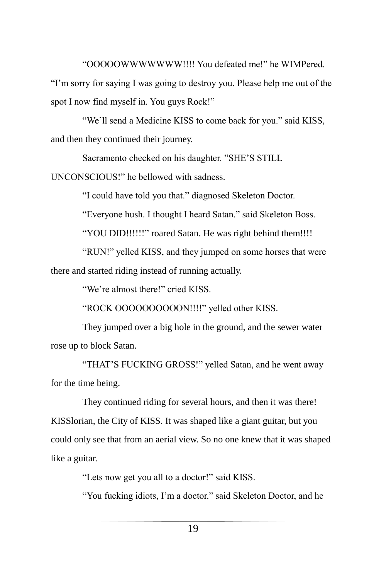"OOOOOWWWWWWW!!!! You defeated me!" he WIMPered.

"I'm sorry for saying I was going to destroy you. Please help me out of the spot I now find myself in. You guys Rock!"

"We'll send a Medicine KISS to come back for you." said KISS, and then they continued their journey.

Sacramento checked on his daughter. "SHE'S STILL

UNCONSCIOUS!" he bellowed with sadness.

"I could have told you that." diagnosed Skeleton Doctor.

"Everyone hush. I thought I heard Satan." said Skeleton Boss.

"YOU DID!!!!!!" roared Satan. He was right behind them!!!!

"RUN!" yelled KISS, and they jumped on some horses that were there and started riding instead of running actually.

"We're almost there!" cried KISS.

"ROCK OOOOOOOOOON!!!!" yelled other KISS.

They jumped over a big hole in the ground, and the sewer water rose up to block Satan.

"THAT'S FUCKING GROSS!" yelled Satan, and he went away for the time being.

They continued riding for several hours, and then it was there! KISSlorian, the City of KISS. It was shaped like a giant guitar, but you could only see that from an aerial view. So no one knew that it was shaped like a guitar.

"Lets now get you all to a doctor!" said KISS.

"You fucking idiots, I'm a doctor." said Skeleton Doctor, and he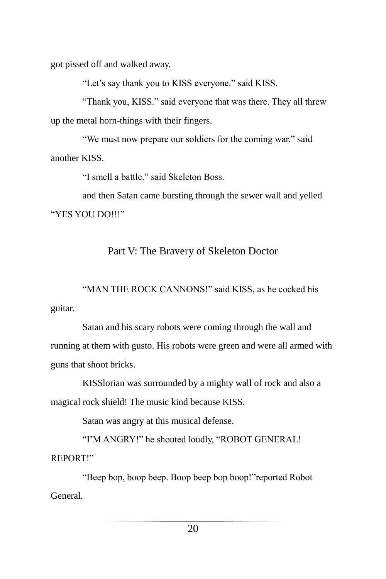got pissed off and walked away.

"Let's say thank you to KISS everyone." said KISS.

"Thank you, KISS." said everyone that was there. They all threw up the metal horn-things with their fingers.

"We must now prepare our soldiers for the coming war." said another KISS.

"I smell a battle." said Skeleton Boss.

and then Satan came bursting through the sewer wall and yelled "YES YOU DO!!!"

#### Part V: The Bravery of Skeleton Doctor

"MAN THE ROCK CANNONS!" said KISS, as he cocked his guitar.

Satan and his scary robots were coming through the wall and running at them with gusto. His robots were green and were all armed with guns that shoot bricks.

KISSlorian was surrounded by a mighty wall of rock and also a magical rock shield! The music kind because KISS.

Satan was angry at this musical defense.

"I'M ANGRY!" he shouted loudly, "ROBOT GENERAL! REPORT!"

"Beep bop, boop beep. Boop beep bop boop!"reported Robot General.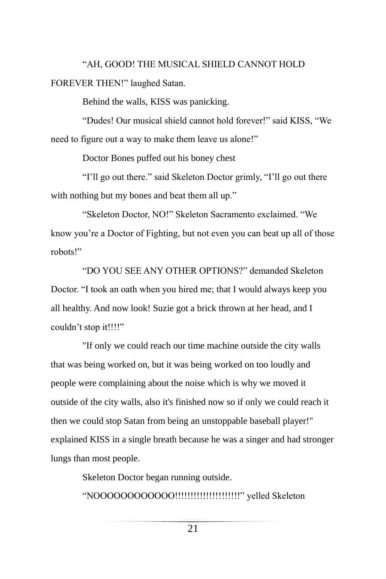"AH, GOOD! THE MUSICAL SHIELD CANNOT HOLD FOREVER THEN!" laughed Satan.

Behind the walls, KISS was panicking.

"Dudes! Our musical shield cannot hold forever!" said KISS, "We need to figure out a way to make them leave us alone!"

Doctor Bones puffed out his boney chest

"I'll go out there." said Skeleton Doctor grimly, "I'll go out there with nothing but my bones and beat them all up."

"Skeleton Doctor, NO!" Skeleton Sacramento exclaimed. "We know you're a Doctor of Fighting, but not even you can beat up all of those robots!"

"DO YOU SEE ANY OTHER OPTIONS?" demanded Skeleton Doctor. "I took an oath when you hired me; that I would always keep you all healthy. And now look! Suzie got a brick thrown at her head, and I couldn't stop it!!!!"

"If only we could reach our time machine outside the city walls that was being worked on, but it was being worked on too loudly and people were complaining about the noise which is why we moved it outside of the city walls, also it's finished now so if only we could reach it then we could stop Satan from being an unstoppable baseball player!" explained KISS in a single breath because he was a singer and had stronger lungs than most people.

> Skeleton Doctor began running outside. "NOOOOOOOOOOOO!!!!!!!!!!!!!!!!!!!!!" yelled Skeleton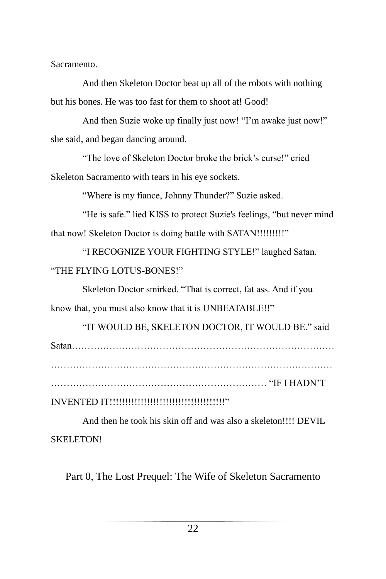Sacramento.

And then Skeleton Doctor beat up all of the robots with nothing but his bones. He was too fast for them to shoot at! Good!

And then Suzie woke up finally just now! "I'm awake just now!" she said, and began dancing around.

"The love of Skeleton Doctor broke the brick's curse!" cried Skeleton Sacramento with tears in his eye sockets.

"Where is my fiance, Johnny Thunder?" Suzie asked.

"He is safe." lied KISS to protect Suzie's feelings, "but never mind that now! Skeleton Doctor is doing battle with SATAN!!!!!!!!!!"

"I RECOGNIZE YOUR FIGHTING STYLE!" laughed Satan. "THE FLYING LOTUS-BONES!"

Skeleton Doctor smirked. "That is correct, fat ass. And if you know that, you must also know that it is UNBEATABLE!!"

"IT WOULD BE, SKELETON DOCTOR, IT WOULD BE." said Satan…………………………………………………………………………

…………………………………………………………… "IF I HADN'T

INVENTED IT!!!!!!!!!!!!!!!!!!!!!!!!!!!!!!!!!!!!!"

And then he took his skin off and was also a skeleton!!!! DEVIL SKELETON!

Part 0, The Lost Prequel: The Wife of Skeleton Sacramento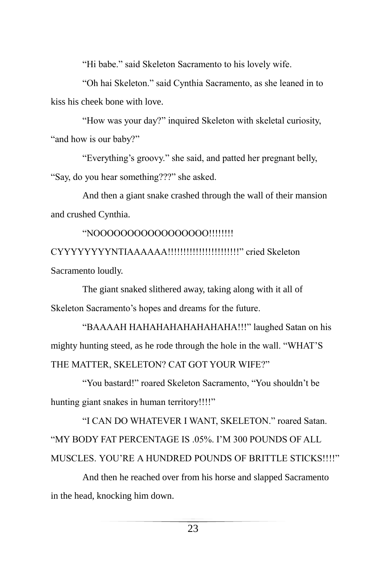"Hi babe." said Skeleton Sacramento to his lovely wife.

"Oh hai Skeleton." said Cynthia Sacramento, as she leaned in to kiss his cheek bone with love.

"How was your day?" inquired Skeleton with skeletal curiosity, "and how is our baby?"

"Everything's groovy." she said, and patted her pregnant belly, "Say, do you hear something???" she asked.

And then a giant snake crashed through the wall of their mansion and crushed Cynthia.

"NOOOOOOOOOOOOOOOOO!!!!!!!!

CYYYYYYYYNTIAAAAAA!!!!!!!!!!!!!!!!!!!!!!!" cried Skeleton Sacramento loudly.

The giant snaked slithered away, taking along with it all of Skeleton Sacramento's hopes and dreams for the future.

"BAAAAH HAHAHAHAHAHAHAHA!!!" laughed Satan on his mighty hunting steed, as he rode through the hole in the wall. "WHAT'S THE MATTER, SKELETON? CAT GOT YOUR WIFE?"

"You bastard!" roared Skeleton Sacramento, "You shouldn't be hunting giant snakes in human territory!!!!"

"I CAN DO WHATEVER I WANT, SKELETON." roared Satan. "MY BODY FAT PERCENTAGE IS .05%. I'M 300 POUNDS OF ALL MUSCLES. YOU'RE A HUNDRED POUNDS OF BRITTLE STICKS!!!!"

And then he reached over from his horse and slapped Sacramento in the head, knocking him down.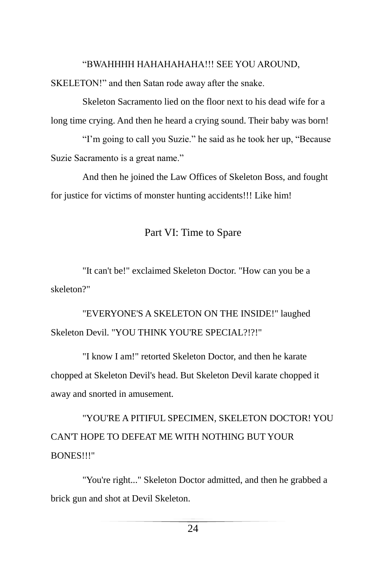#### "BWAHHHH HAHAHAHAHA!!! SEE YOU AROUND,

SKELETON!" and then Satan rode away after the snake.

Skeleton Sacramento lied on the floor next to his dead wife for a long time crying. And then he heard a crying sound. Their baby was born!

"I'm going to call you Suzie." he said as he took her up, "Because Suzie Sacramento is a great name."

And then he joined the Law Offices of Skeleton Boss, and fought for justice for victims of monster hunting accidents!!! Like him!

#### Part VI: Time to Spare

"It can't be!" exclaimed Skeleton Doctor. "How can you be a skeleton?"

"EVERYONE'S A SKELETON ON THE INSIDE!" laughed Skeleton Devil. "YOU THINK YOU'RE SPECIAL?!?!"

"I know I am!" retorted Skeleton Doctor, and then he karate chopped at Skeleton Devil's head. But Skeleton Devil karate chopped it away and snorted in amusement.

"YOU'RE A PITIFUL SPECIMEN, SKELETON DOCTOR! YOU CAN'T HOPE TO DEFEAT ME WITH NOTHING BUT YOUR BONES!!!"

"You're right..." Skeleton Doctor admitted, and then he grabbed a brick gun and shot at Devil Skeleton.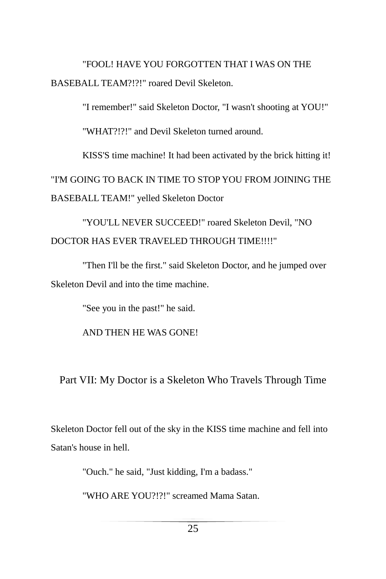"FOOL! HAVE YOU FORGOTTEN THAT I WAS ON THE BASEBALL TEAM?!?!" roared Devil Skeleton.

"I remember!" said Skeleton Doctor, "I wasn't shooting at YOU!"

"WHAT?!?!" and Devil Skeleton turned around.

KISS'S time machine! It had been activated by the brick hitting it! "I'M GOING TO BACK IN TIME TO STOP YOU FROM JOINING THE BASEBALL TEAM!" yelled Skeleton Doctor

"YOU'LL NEVER SUCCEED!" roared Skeleton Devil, "NO DOCTOR HAS EVER TRAVELED THROUGH TIME!!!!"

"Then I'll be the first." said Skeleton Doctor, and he jumped over Skeleton Devil and into the time machine.

"See you in the past!" he said.

AND THEN HE WAS GONE!

Part VII: My Doctor is a Skeleton Who Travels Through Time

Skeleton Doctor fell out of the sky in the KISS time machine and fell into Satan's house in hell.

"Ouch." he said, "Just kidding, I'm a badass."

"WHO ARE YOU?!?!" screamed Mama Satan.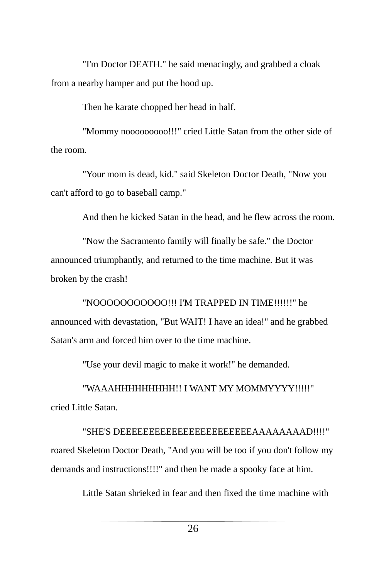"I'm Doctor DEATH." he said menacingly, and grabbed a cloak from a nearby hamper and put the hood up.

Then he karate chopped her head in half.

"Mommy nooooooooo!!!" cried Little Satan from the other side of the room.

"Your mom is dead, kid." said Skeleton Doctor Death, "Now you can't afford to go to baseball camp."

And then he kicked Satan in the head, and he flew across the room.

"Now the Sacramento family will finally be safe." the Doctor announced triumphantly, and returned to the time machine. But it was broken by the crash!

"NOOOOOOOOOOO!!! I'M TRAPPED IN TIME!!!!!!" he announced with devastation, "But WAIT! I have an idea!" and he grabbed Satan's arm and forced him over to the time machine.

"Use your devil magic to make it work!" he demanded.

"WAAAHHHHHHHHH!! I WANT MY MOMMYYYY!!!!!" cried Little Satan.

"SHE'S DEEEEEEEEEEEEEEEEEEEEEEEAAAAAAAAD!!!!" roared Skeleton Doctor Death, "And you will be too if you don't follow my demands and instructions!!!!" and then he made a spooky face at him.

Little Satan shrieked in fear and then fixed the time machine with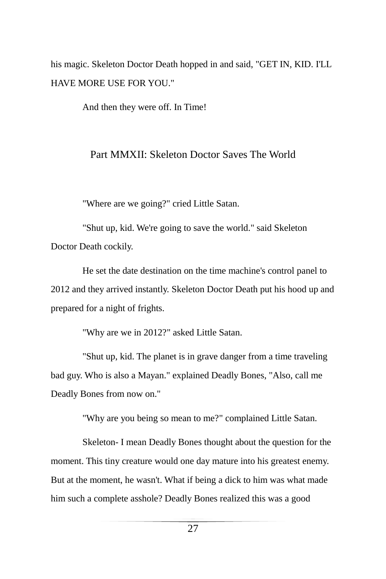his magic. Skeleton Doctor Death hopped in and said, "GET IN, KID. I'LL HAVE MORE USE FOR YOU."

And then they were off. In Time!

#### Part MMXII: Skeleton Doctor Saves The World

"Where are we going?" cried Little Satan.

"Shut up, kid. We're going to save the world." said Skeleton Doctor Death cockily.

He set the date destination on the time machine's control panel to 2012 and they arrived instantly. Skeleton Doctor Death put his hood up and prepared for a night of frights.

"Why are we in 2012?" asked Little Satan.

"Shut up, kid. The planet is in grave danger from a time traveling bad guy. Who is also a Mayan." explained Deadly Bones, "Also, call me Deadly Bones from now on."

"Why are you being so mean to me?" complained Little Satan.

Skeleton- I mean Deadly Bones thought about the question for the moment. This tiny creature would one day mature into his greatest enemy. But at the moment, he wasn't. What if being a dick to him was what made him such a complete asshole? Deadly Bones realized this was a good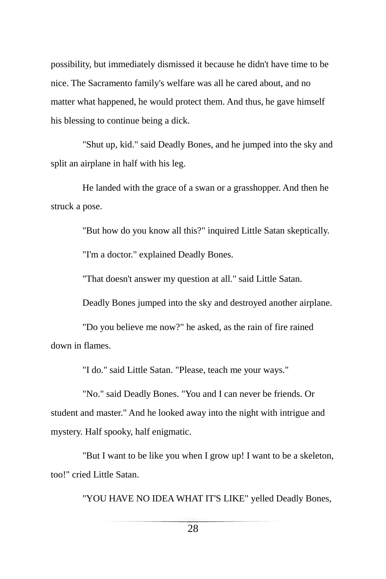possibility, but immediately dismissed it because he didn't have time to be nice. The Sacramento family's welfare was all he cared about, and no matter what happened, he would protect them. And thus, he gave himself his blessing to continue being a dick.

"Shut up, kid." said Deadly Bones, and he jumped into the sky and split an airplane in half with his leg.

He landed with the grace of a swan or a grasshopper. And then he struck a pose.

"But how do you know all this?" inquired Little Satan skeptically.

"I'm a doctor." explained Deadly Bones.

"That doesn't answer my question at all." said Little Satan.

Deadly Bones jumped into the sky and destroyed another airplane.

"Do you believe me now?" he asked, as the rain of fire rained down in flames.

"I do." said Little Satan. "Please, teach me your ways."

"No." said Deadly Bones. "You and I can never be friends. Or student and master." And he looked away into the night with intrigue and mystery. Half spooky, half enigmatic.

"But I want to be like you when I grow up! I want to be a skeleton, too!" cried Little Satan.

"YOU HAVE NO IDEA WHAT IT'S LIKE" yelled Deadly Bones,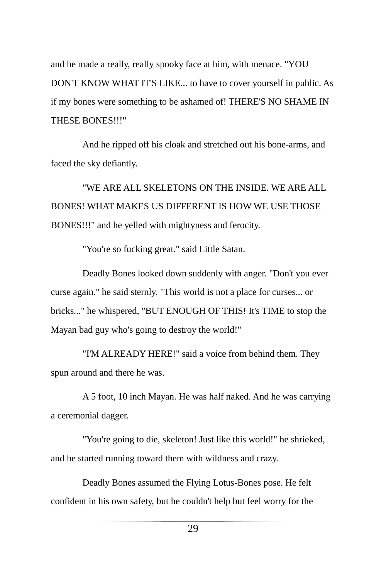and he made a really, really spooky face at him, with menace. "YOU DON'T KNOW WHAT IT'S LIKE... to have to cover yourself in public. As if my bones were something to be ashamed of! THERE'S NO SHAME IN THESE BONES!!!"

And he ripped off his cloak and stretched out his bone-arms, and faced the sky defiantly.

"WE ARE ALL SKELETONS ON THE INSIDE. WE ARE ALL BONES! WHAT MAKES US DIFFERENT IS HOW WE USE THOSE BONES!!!" and he yelled with mightyness and ferocity.

"You're so fucking great." said Little Satan.

Deadly Bones looked down suddenly with anger. "Don't you ever curse again." he said sternly. "This world is not a place for curses... or bricks..." he whispered, "BUT ENOUGH OF THIS! It's TIME to stop the Mayan bad guy who's going to destroy the world!"

"I'M ALREADY HERE!" said a voice from behind them. They spun around and there he was.

A 5 foot, 10 inch Mayan. He was half naked. And he was carrying a ceremonial dagger.

"You're going to die, skeleton! Just like this world!" he shrieked, and he started running toward them with wildness and crazy.

Deadly Bones assumed the Flying Lotus-Bones pose. He felt confident in his own safety, but he couldn't help but feel worry for the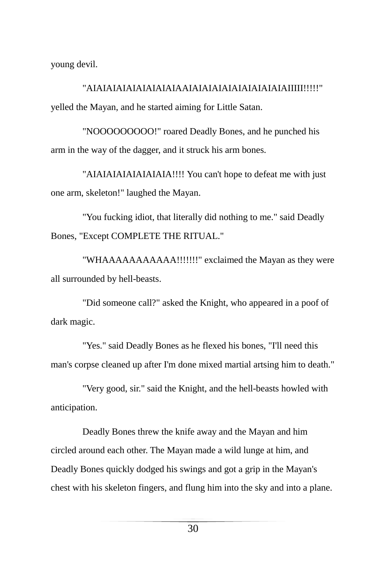young devil.

"AIAIAIAIAIAIAIAIAIAAIAIAIAIAIAIAIAIAIAIAIIIII!!!!!" yelled the Mayan, and he started aiming for Little Satan.

"NOOOOOOOOO!" roared Deadly Bones, and he punched his arm in the way of the dagger, and it struck his arm bones.

"AIAIAIAIAIAIAIAIA!!!! You can't hope to defeat me with just one arm, skeleton!" laughed the Mayan.

"You fucking idiot, that literally did nothing to me." said Deadly Bones, "Except COMPLETE THE RITUAL."

"WHAAAAAAAAAAA!!!!!!!" exclaimed the Mayan as they were all surrounded by hell-beasts.

"Did someone call?" asked the Knight, who appeared in a poof of dark magic.

"Yes." said Deadly Bones as he flexed his bones, "I'll need this man's corpse cleaned up after I'm done mixed martial artsing him to death."

"Very good, sir." said the Knight, and the hell-beasts howled with anticipation.

Deadly Bones threw the knife away and the Mayan and him circled around each other. The Mayan made a wild lunge at him, and Deadly Bones quickly dodged his swings and got a grip in the Mayan's chest with his skeleton fingers, and flung him into the sky and into a plane.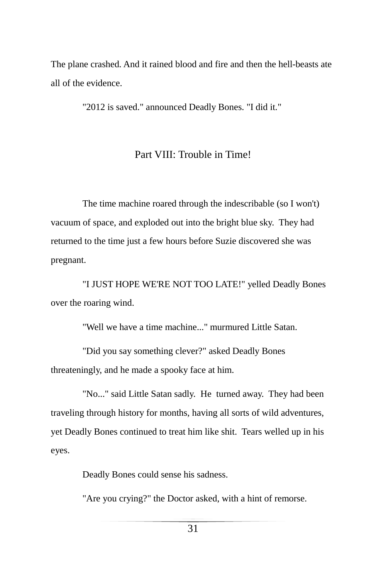The plane crashed. And it rained blood and fire and then the hell-beasts ate all of the evidence.

"2012 is saved." announced Deadly Bones. "I did it."

#### Part VIII: Trouble in Time!

The time machine roared through the indescribable (so I won't) vacuum of space, and exploded out into the bright blue sky. They had returned to the time just a few hours before Suzie discovered she was pregnant.

"I JUST HOPE WE'RE NOT TOO LATE!" yelled Deadly Bones over the roaring wind.

"Well we have a time machine..." murmured Little Satan.

"Did you say something clever?" asked Deadly Bones threateningly, and he made a spooky face at him.

"No..." said Little Satan sadly. He turned away. They had been traveling through history for months, having all sorts of wild adventures, yet Deadly Bones continued to treat him like shit. Tears welled up in his eyes.

Deadly Bones could sense his sadness.

"Are you crying?" the Doctor asked, with a hint of remorse.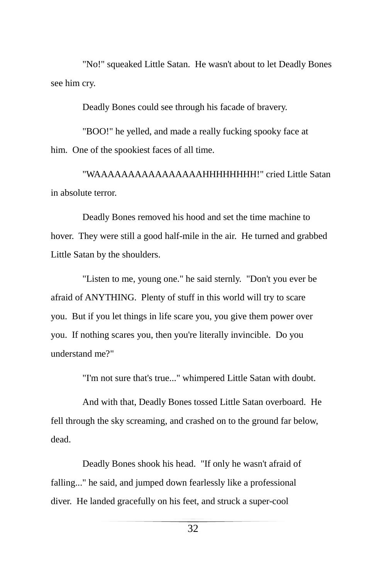"No!" squeaked Little Satan. He wasn't about to let Deadly Bones see him cry.

Deadly Bones could see through his facade of bravery.

"BOO!" he yelled, and made a really fucking spooky face at him. One of the spookiest faces of all time.

"WAAAAAAAAAAAAAAAAHHHHHHHH!" cried Little Satan in absolute terror.

Deadly Bones removed his hood and set the time machine to hover. They were still a good half-mile in the air. He turned and grabbed Little Satan by the shoulders.

"Listen to me, young one." he said sternly. "Don't you ever be afraid of ANYTHING. Plenty of stuff in this world will try to scare you. But if you let things in life scare you, you give them power over you. If nothing scares you, then you're literally invincible. Do you understand me?"

"I'm not sure that's true..." whimpered Little Satan with doubt.

And with that, Deadly Bones tossed Little Satan overboard. He fell through the sky screaming, and crashed on to the ground far below, dead.

Deadly Bones shook his head. "If only he wasn't afraid of falling..." he said, and jumped down fearlessly like a professional diver. He landed gracefully on his feet, and struck a super-cool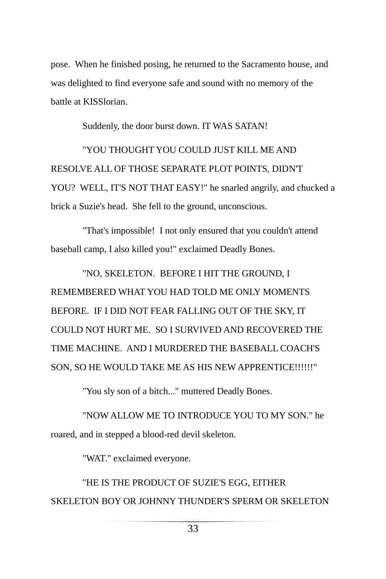pose. When he finished posing, he returned to the Sacramento house, and was delighted to find everyone safe and sound with no memory of the battle at KISSlorian.

Suddenly, the door burst down. IT WAS SATAN!

"YOU THOUGHT YOU COULD JUST KILL ME AND RESOLVE ALL OF THOSE SEPARATE PLOT POINTS, DIDN'T YOU? WELL, IT'S NOT THAT EASY!" he snarled angrily, and chucked a brick a Suzie's head. She fell to the ground, unconscious.

"That's impossible! I not only ensured that you couldn't attend baseball camp, I also killed you!" exclaimed Deadly Bones.

"NO, SKELETON. BEFORE I HIT THE GROUND, I REMEMBERED WHAT YOU HAD TOLD ME ONLY MOMENTS BEFORE. IF I DID NOT FEAR FALLING OUT OF THE SKY, IT COULD NOT HURT ME. SO I SURVIVED AND RECOVERED THE TIME MACHINE. AND I MURDERED THE BASEBALL COACH'S SON, SO HE WOULD TAKE ME AS HIS NEW APPRENTICE!!!!!!"

"You sly son of a bitch..." muttered Deadly Bones.

"NOW ALLOW ME TO INTRODUCE YOU TO MY SON." he roared, and in stepped a blood-red devil skeleton.

"WAT." exclaimed everyone.

"HE IS THE PRODUCT OF SUZIE'S EGG, EITHER SKELETON BOY OR JOHNNY THUNDER'S SPERM OR SKELETON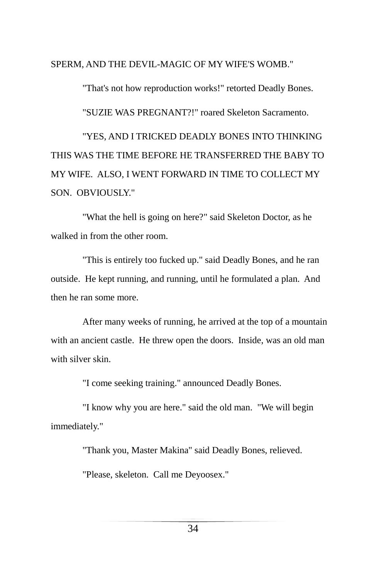SPERM, AND THE DEVIL-MAGIC OF MY WIFE'S WOMB."

"That's not how reproduction works!" retorted Deadly Bones. "SUZIE WAS PREGNANT?!" roared Skeleton Sacramento. "YES, AND I TRICKED DEADLY BONES INTO THINKING THIS WAS THE TIME BEFORE HE TRANSFERRED THE BABY TO

MY WIFE. ALSO, I WENT FORWARD IN TIME TO COLLECT MY

SON. OBVIOUSLY."

"What the hell is going on here?" said Skeleton Doctor, as he walked in from the other room.

"This is entirely too fucked up." said Deadly Bones, and he ran outside. He kept running, and running, until he formulated a plan. And then he ran some more.

After many weeks of running, he arrived at the top of a mountain with an ancient castle. He threw open the doors. Inside, was an old man with silver skin.

"I come seeking training." announced Deadly Bones.

"I know why you are here." said the old man. "We will begin immediately."

"Thank you, Master Makina" said Deadly Bones, relieved.

"Please, skeleton. Call me Deyoosex."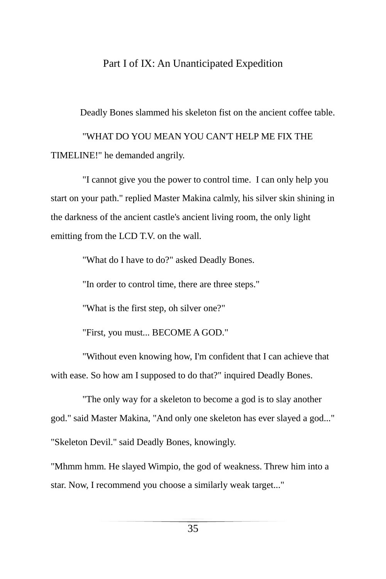#### Part I of IX: An Unanticipated Expedition

Deadly Bones slammed his skeleton fist on the ancient coffee table.

"WHAT DO YOU MEAN YOU CAN'T HELP ME FIX THE TIMELINE!" he demanded angrily.

"I cannot give you the power to control time. I can only help you start on your path." replied Master Makina calmly, his silver skin shining in the darkness of the ancient castle's ancient living room, the only light emitting from the LCD T.V. on the wall.

"What do I have to do?" asked Deadly Bones.

"In order to control time, there are three steps."

"What is the first step, oh silver one?"

"First, you must... BECOME A GOD."

"Without even knowing how, I'm confident that I can achieve that with ease. So how am I supposed to do that?" inquired Deadly Bones.

"The only way for a skeleton to become a god is to slay another god." said Master Makina, "And only one skeleton has ever slayed a god..." "Skeleton Devil." said Deadly Bones, knowingly.

"Mhmm hmm. He slayed Wimpio, the god of weakness. Threw him into a star. Now, I recommend you choose a similarly weak target..."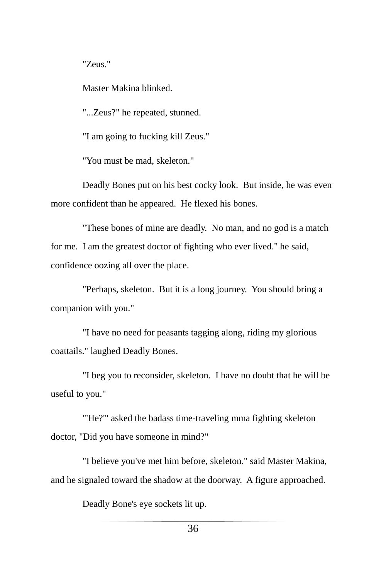"Zeus."

Master Makina blinked.

"...Zeus?" he repeated, stunned.

"I am going to fucking kill Zeus."

"You must be mad, skeleton."

Deadly Bones put on his best cocky look. But inside, he was even more confident than he appeared. He flexed his bones.

"These bones of mine are deadly. No man, and no god is a match for me. I am the greatest doctor of fighting who ever lived." he said, confidence oozing all over the place.

"Perhaps, skeleton. But it is a long journey. You should bring a companion with you."

"I have no need for peasants tagging along, riding my glorious coattails." laughed Deadly Bones.

"I beg you to reconsider, skeleton. I have no doubt that he will be useful to you."

"'He?"' asked the badass time-traveling mma fighting skeleton doctor, "Did you have someone in mind?"

"I believe you've met him before, skeleton." said Master Makina, and he signaled toward the shadow at the doorway. A figure approached.

Deadly Bone's eye sockets lit up.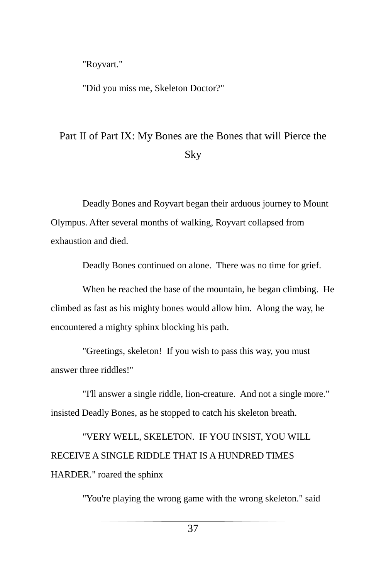"Royvart."

"Did you miss me, Skeleton Doctor?"

## Part II of Part IX: My Bones are the Bones that will Pierce the Sky

Deadly Bones and Royvart began their arduous journey to Mount Olympus. After several months of walking, Royvart collapsed from exhaustion and died.

Deadly Bones continued on alone. There was no time for grief.

When he reached the base of the mountain, he began climbing. He climbed as fast as his mighty bones would allow him. Along the way, he encountered a mighty sphinx blocking his path.

"Greetings, skeleton! If you wish to pass this way, you must answer three riddles!"

"I'll answer a single riddle, lion-creature. And not a single more." insisted Deadly Bones, as he stopped to catch his skeleton breath.

"VERY WELL, SKELETON. IF YOU INSIST, YOU WILL RECEIVE A SINGLE RIDDLE THAT IS A HUNDRED TIMES HARDER." roared the sphinx

"You're playing the wrong game with the wrong skeleton." said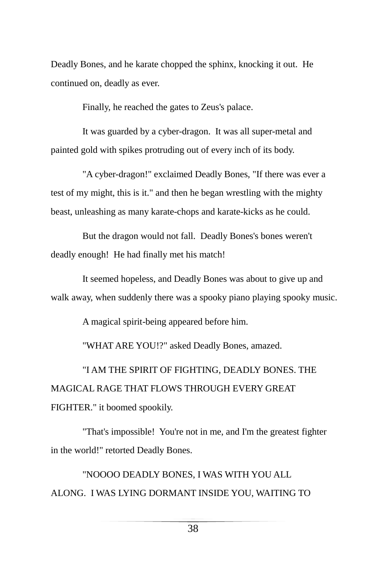Deadly Bones, and he karate chopped the sphinx, knocking it out. He continued on, deadly as ever.

Finally, he reached the gates to Zeus's palace.

It was guarded by a cyber-dragon. It was all super-metal and painted gold with spikes protruding out of every inch of its body.

"A cyber-dragon!" exclaimed Deadly Bones, "If there was ever a test of my might, this is it." and then he began wrestling with the mighty beast, unleashing as many karate-chops and karate-kicks as he could.

But the dragon would not fall. Deadly Bones's bones weren't deadly enough! He had finally met his match!

It seemed hopeless, and Deadly Bones was about to give up and walk away, when suddenly there was a spooky piano playing spooky music.

A magical spirit-being appeared before him.

"WHAT ARE YOU!?" asked Deadly Bones, amazed.

"I AM THE SPIRIT OF FIGHTING, DEADLY BONES. THE MAGICAL RAGE THAT FLOWS THROUGH EVERY GREAT FIGHTER." it boomed spookily.

"That's impossible! You're not in me, and I'm the greatest fighter in the world!" retorted Deadly Bones.

"NOOOO DEADLY BONES, I WAS WITH YOU ALL ALONG. I WAS LYING DORMANT INSIDE YOU, WAITING TO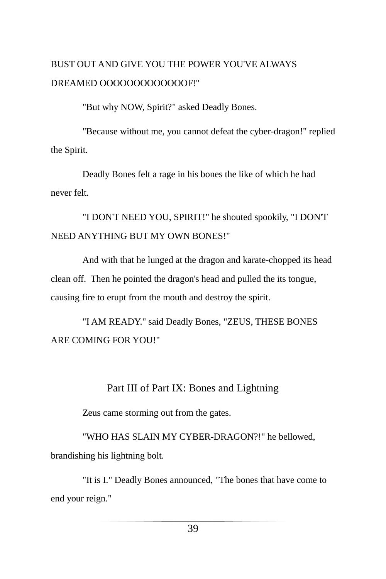### BUST OUT AND GIVE YOU THE POWER YOU'VE ALWAYS DREAMED OOOOOOOOOOOOOF!"

"But why NOW, Spirit?" asked Deadly Bones.

"Because without me, you cannot defeat the cyber-dragon!" replied the Spirit.

Deadly Bones felt a rage in his bones the like of which he had never felt.

"I DON'T NEED YOU, SPIRIT!" he shouted spookily, "I DON'T NEED ANYTHING BUT MY OWN BONES!"

And with that he lunged at the dragon and karate-chopped its head clean off. Then he pointed the dragon's head and pulled the its tongue, causing fire to erupt from the mouth and destroy the spirit.

"I AM READY." said Deadly Bones, "ZEUS, THESE BONES ARE COMING FOR YOU!"

#### Part III of Part IX: Bones and Lightning

Zeus came storming out from the gates.

"WHO HAS SLAIN MY CYBER-DRAGON?!" he bellowed, brandishing his lightning bolt.

"It is I." Deadly Bones announced, "The bones that have come to end your reign."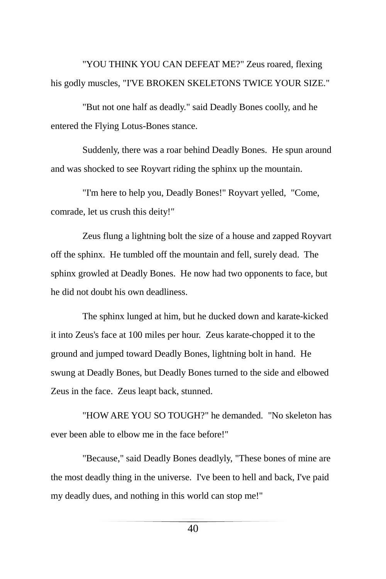"YOU THINK YOU CAN DEFEAT ME?" Zeus roared, flexing his godly muscles, "I'VE BROKEN SKELETONS TWICE YOUR SIZE."

"But not one half as deadly." said Deadly Bones coolly, and he entered the Flying Lotus-Bones stance.

Suddenly, there was a roar behind Deadly Bones. He spun around and was shocked to see Royvart riding the sphinx up the mountain.

"I'm here to help you, Deadly Bones!" Royvart yelled, "Come, comrade, let us crush this deity!"

Zeus flung a lightning bolt the size of a house and zapped Royvart off the sphinx. He tumbled off the mountain and fell, surely dead. The sphinx growled at Deadly Bones. He now had two opponents to face, but he did not doubt his own deadliness.

The sphinx lunged at him, but he ducked down and karate-kicked it into Zeus's face at 100 miles per hour. Zeus karate-chopped it to the ground and jumped toward Deadly Bones, lightning bolt in hand. He swung at Deadly Bones, but Deadly Bones turned to the side and elbowed Zeus in the face. Zeus leapt back, stunned.

"HOW ARE YOU SO TOUGH?" he demanded. "No skeleton has ever been able to elbow me in the face before!"

"Because," said Deadly Bones deadlyly, "These bones of mine are the most deadly thing in the universe. I've been to hell and back, I've paid my deadly dues, and nothing in this world can stop me!"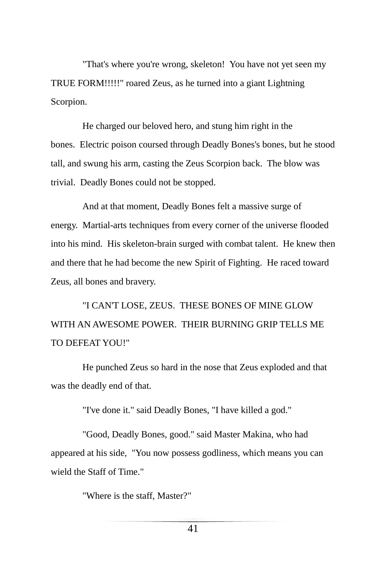"That's where you're wrong, skeleton! You have not yet seen my TRUE FORM!!!!!" roared Zeus, as he turned into a giant Lightning Scorpion.

He charged our beloved hero, and stung him right in the bones. Electric poison coursed through Deadly Bones's bones, but he stood tall, and swung his arm, casting the Zeus Scorpion back. The blow was trivial. Deadly Bones could not be stopped.

And at that moment, Deadly Bones felt a massive surge of energy. Martial-arts techniques from every corner of the universe flooded into his mind. His skeleton-brain surged with combat talent. He knew then and there that he had become the new Spirit of Fighting. He raced toward Zeus, all bones and bravery.

"I CAN'T LOSE, ZEUS. THESE BONES OF MINE GLOW WITH AN AWESOME POWER. THEIR BURNING GRIP TELLS ME TO DEFEAT YOU!"

He punched Zeus so hard in the nose that Zeus exploded and that was the deadly end of that.

"I've done it." said Deadly Bones, "I have killed a god."

"Good, Deadly Bones, good." said Master Makina, who had appeared at his side, "You now possess godliness, which means you can wield the Staff of Time."

"Where is the staff, Master?"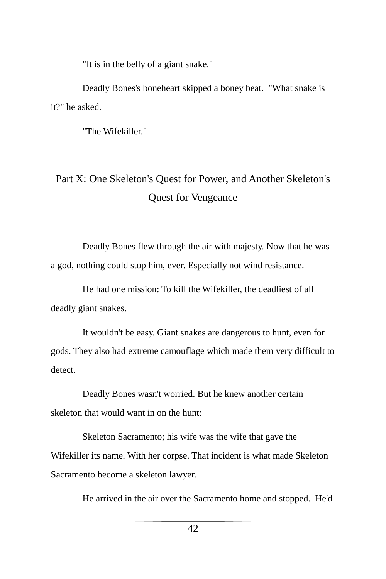"It is in the belly of a giant snake."

Deadly Bones's boneheart skipped a boney beat. "What snake is it?" he asked.

"The Wifekiller."

## Part X: One Skeleton's Quest for Power, and Another Skeleton's Quest for Vengeance

Deadly Bones flew through the air with majesty. Now that he was a god, nothing could stop him, ever. Especially not wind resistance.

He had one mission: To kill the Wifekiller, the deadliest of all deadly giant snakes.

It wouldn't be easy. Giant snakes are dangerous to hunt, even for gods. They also had extreme camouflage which made them very difficult to detect.

Deadly Bones wasn't worried. But he knew another certain skeleton that would want in on the hunt:

Skeleton Sacramento; his wife was the wife that gave the Wifekiller its name. With her corpse. That incident is what made Skeleton Sacramento become a skeleton lawyer.

He arrived in the air over the Sacramento home and stopped. He'd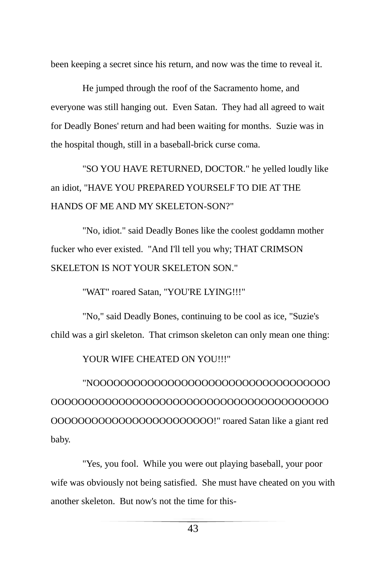been keeping a secret since his return, and now was the time to reveal it.

He jumped through the roof of the Sacramento home, and everyone was still hanging out. Even Satan. They had all agreed to wait for Deadly Bones' return and had been waiting for months. Suzie was in the hospital though, still in a baseball-brick curse coma.

"SO YOU HAVE RETURNED, DOCTOR." he yelled loudly like an idiot, "HAVE YOU PREPARED YOURSELF TO DIE AT THE HANDS OF ME AND MY SKELETON-SON?"

"No, idiot." said Deadly Bones like the coolest goddamn mother fucker who ever existed. "And I'll tell you why; THAT CRIMSON SKELETON IS NOT YOUR SKELETON SON."

"WAT" roared Satan, "YOU'RE LYING!!!"

"No," said Deadly Bones, continuing to be cool as ice, "Suzie's child was a girl skeleton. That crimson skeleton can only mean one thing:

YOUR WIFE CHEATED ON YOU!!!"

"NOOOOOOOOOOOOOOOOOOOOOOOOOOOOOOOOOOO OOOOOOOOOOOOOOOOOOOOOOOOOOOOOOOOOOOOOOOOO OOOOOOOOOOOOOOOOOOOOOOOO!" roared Satan like a giant red baby.

"Yes, you fool. While you were out playing baseball, your poor wife was obviously not being satisfied. She must have cheated on you with another skeleton. But now's not the time for this-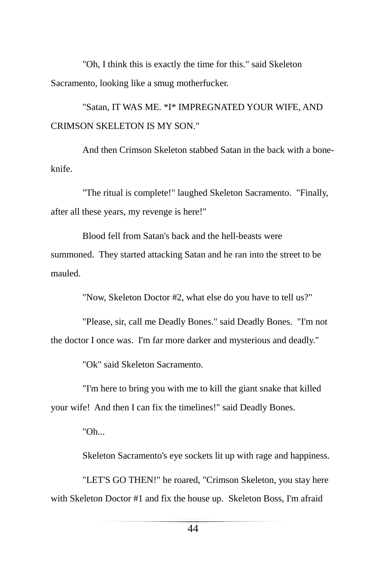"Oh, I think this is exactly the time for this." said Skeleton Sacramento, looking like a smug motherfucker.

## "Satan, IT WAS ME. \*I\* IMPREGNATED YOUR WIFE, AND CRIMSON SKELETON IS MY SON."

And then Crimson Skeleton stabbed Satan in the back with a boneknife.

"The ritual is complete!" laughed Skeleton Sacramento. "Finally, after all these years, my revenge is here!"

Blood fell from Satan's back and the hell-beasts were summoned. They started attacking Satan and he ran into the street to be mauled.

"Now, Skeleton Doctor #2, what else do you have to tell us?"

"Please, sir, call me Deadly Bones." said Deadly Bones. "I'm not the doctor I once was. I'm far more darker and mysterious and deadly."

"Ok" said Skeleton Sacramento.

"I'm here to bring you with me to kill the giant snake that killed your wife! And then I can fix the timelines!" said Deadly Bones.

"Oh...

Skeleton Sacramento's eye sockets lit up with rage and happiness.

"LET'S GO THEN!" he roared, "Crimson Skeleton, you stay here with Skeleton Doctor #1 and fix the house up. Skeleton Boss, I'm afraid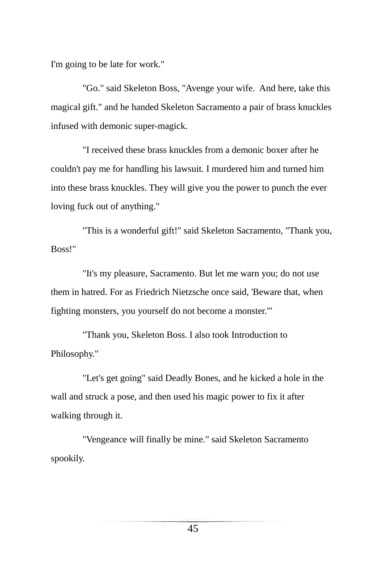I'm going to be late for work."

"Go." said Skeleton Boss, "Avenge your wife. And here, take this magical gift." and he handed Skeleton Sacramento a pair of brass knuckles infused with demonic super-magick.

"I received these brass knuckles from a demonic boxer after he couldn't pay me for handling his lawsuit. I murdered him and turned him into these brass knuckles. They will give you the power to punch the ever loving fuck out of anything."

"This is a wonderful gift!" said Skeleton Sacramento, "Thank you, Boss!"

"It's my pleasure, Sacramento. But let me warn you; do not use them in hatred. For as Friedrich Nietzsche once said, 'Beware that, when fighting monsters, you yourself do not become a monster.'"

"Thank you, Skeleton Boss. I also took Introduction to Philosophy."

"Let's get going" said Deadly Bones, and he kicked a hole in the wall and struck a pose, and then used his magic power to fix it after walking through it.

"Vengeance will finally be mine." said Skeleton Sacramento spookily.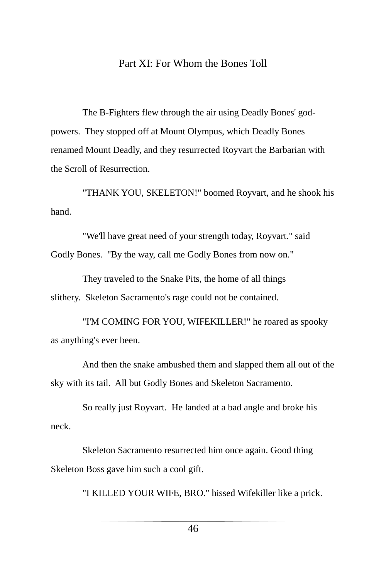#### Part XI: For Whom the Bones Toll

The B-Fighters flew through the air using Deadly Bones' godpowers. They stopped off at Mount Olympus, which Deadly Bones renamed Mount Deadly, and they resurrected Royvart the Barbarian with the Scroll of Resurrection.

"THANK YOU, SKELETON!" boomed Royvart, and he shook his hand.

"We'll have great need of your strength today, Royvart." said Godly Bones. "By the way, call me Godly Bones from now on."

They traveled to the Snake Pits, the home of all things slithery. Skeleton Sacramento's rage could not be contained.

"I'M COMING FOR YOU, WIFEKILLER!" he roared as spooky as anything's ever been.

And then the snake ambushed them and slapped them all out of the sky with its tail. All but Godly Bones and Skeleton Sacramento.

So really just Royvart. He landed at a bad angle and broke his neck.

Skeleton Sacramento resurrected him once again. Good thing Skeleton Boss gave him such a cool gift.

"I KILLED YOUR WIFE, BRO." hissed Wifekiller like a prick.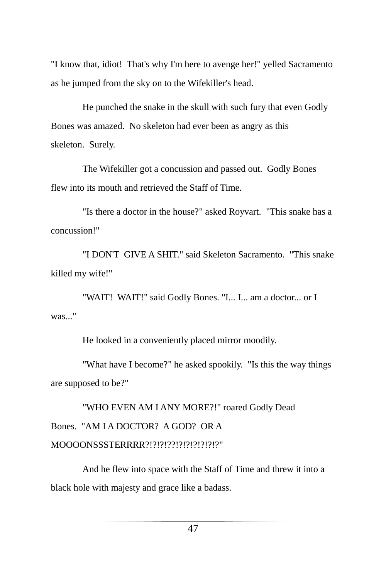"I know that, idiot! That's why I'm here to avenge her!" yelled Sacramento as he jumped from the sky on to the Wifekiller's head.

He punched the snake in the skull with such fury that even Godly Bones was amazed. No skeleton had ever been as angry as this skeleton. Surely.

The Wifekiller got a concussion and passed out. Godly Bones flew into its mouth and retrieved the Staff of Time.

"Is there a doctor in the house?" asked Royvart. "This snake has a concussion!"

"I DON'T GIVE A SHIT." said Skeleton Sacramento. "This snake killed my wife!"

"WAIT! WAIT!" said Godly Bones. "I... I... am a doctor... or I was..."

He looked in a conveniently placed mirror moodily.

"What have I become?" he asked spookily. "Is this the way things are supposed to be?"

"WHO EVEN AM I ANY MORE?!" roared Godly Dead Bones. "AM I A DOCTOR? A GOD? OR A MOOOONSSSTERRRR?!?!?!??!?!?!?!?!?!?"

And he flew into space with the Staff of Time and threw it into a black hole with majesty and grace like a badass.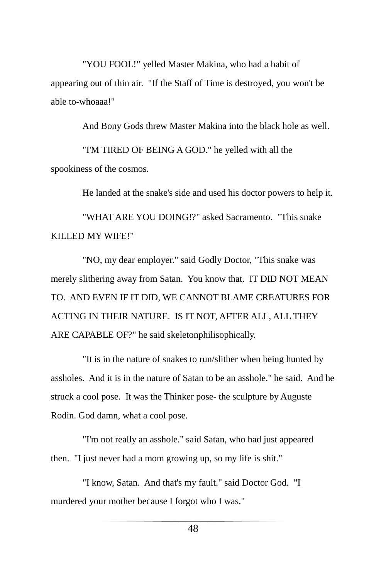"YOU FOOL!" yelled Master Makina, who had a habit of appearing out of thin air. "If the Staff of Time is destroyed, you won't be able to-whoaaa!"

And Bony Gods threw Master Makina into the black hole as well.

"I'M TIRED OF BEING A GOD." he yelled with all the spookiness of the cosmos.

He landed at the snake's side and used his doctor powers to help it.

"WHAT ARE YOU DOING!?" asked Sacramento. "This snake KILLED MY WIFE!"

"NO, my dear employer." said Godly Doctor, "This snake was merely slithering away from Satan. You know that. IT DID NOT MEAN TO. AND EVEN IF IT DID, WE CANNOT BLAME CREATURES FOR ACTING IN THEIR NATURE. IS IT NOT, AFTER ALL, ALL THEY ARE CAPABLE OF?" he said skeletonphilisophically.

"It is in the nature of snakes to run/slither when being hunted by assholes. And it is in the nature of Satan to be an asshole." he said. And he struck a cool pose. It was the Thinker pose- the sculpture by Auguste Rodin. God damn, what a cool pose.

"I'm not really an asshole." said Satan, who had just appeared then. "I just never had a mom growing up, so my life is shit."

"I know, Satan. And that's my fault." said Doctor God. "I murdered your mother because I forgot who I was."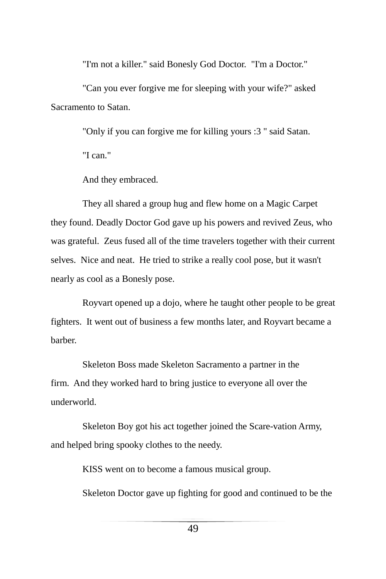"I'm not a killer." said Bonesly God Doctor. "I'm a Doctor."

"Can you ever forgive me for sleeping with your wife?" asked Sacramento to Satan.

"Only if you can forgive me for killing yours :3 " said Satan.

"I can."

And they embraced.

They all shared a group hug and flew home on a Magic Carpet they found. Deadly Doctor God gave up his powers and revived Zeus, who was grateful. Zeus fused all of the time travelers together with their current selves. Nice and neat. He tried to strike a really cool pose, but it wasn't nearly as cool as a Bonesly pose.

Royvart opened up a dojo, where he taught other people to be great fighters. It went out of business a few months later, and Royvart became a barber.

Skeleton Boss made Skeleton Sacramento a partner in the firm. And they worked hard to bring justice to everyone all over the underworld.

Skeleton Boy got his act together joined the Scare-vation Army, and helped bring spooky clothes to the needy.

KISS went on to become a famous musical group.

Skeleton Doctor gave up fighting for good and continued to be the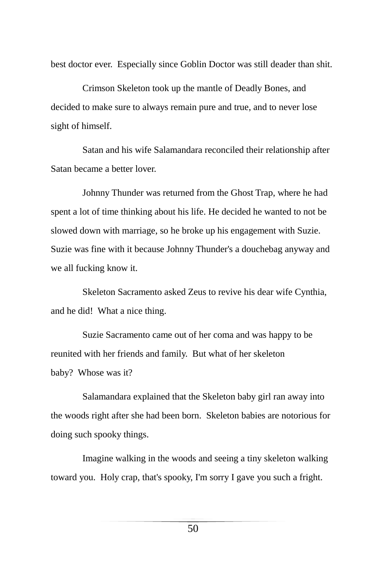best doctor ever. Especially since Goblin Doctor was still deader than shit.

Crimson Skeleton took up the mantle of Deadly Bones, and decided to make sure to always remain pure and true, and to never lose sight of himself.

Satan and his wife Salamandara reconciled their relationship after Satan became a better lover.

Johnny Thunder was returned from the Ghost Trap, where he had spent a lot of time thinking about his life. He decided he wanted to not be slowed down with marriage, so he broke up his engagement with Suzie. Suzie was fine with it because Johnny Thunder's a douchebag anyway and we all fucking know it.

Skeleton Sacramento asked Zeus to revive his dear wife Cynthia, and he did! What a nice thing.

Suzie Sacramento came out of her coma and was happy to be reunited with her friends and family. But what of her skeleton baby? Whose was it?

Salamandara explained that the Skeleton baby girl ran away into the woods right after she had been born. Skeleton babies are notorious for doing such spooky things.

Imagine walking in the woods and seeing a tiny skeleton walking toward you. Holy crap, that's spooky, I'm sorry I gave you such a fright.